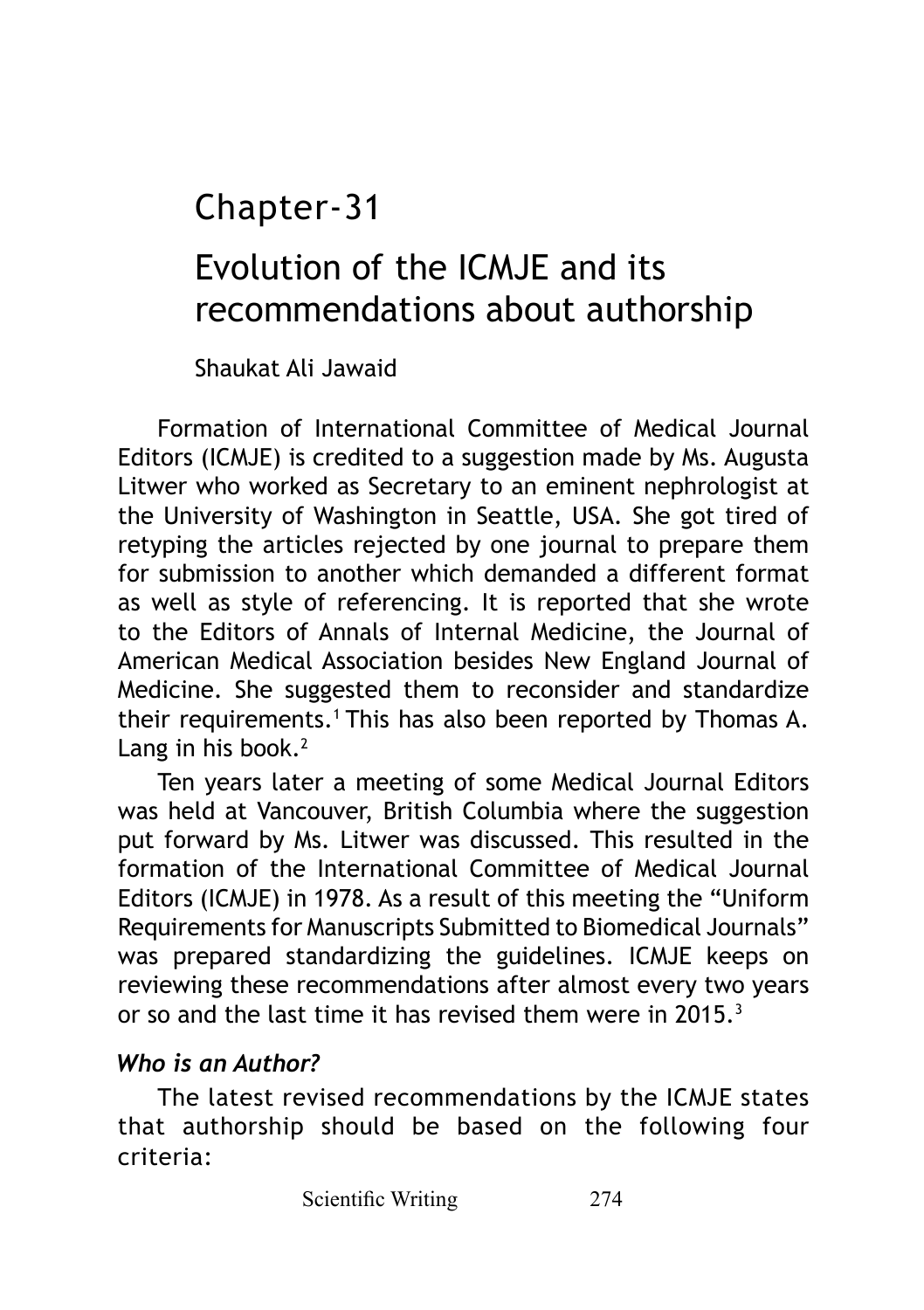Chapter-31

# Evolution of the ICMJE and its recommendations about authorship

Shaukat Ali Jawaid

Formation of International Committee of Medical Journal Editors (ICMJE) is credited to a suggestion made by Ms. Augusta Litwer who worked as Secretary to an eminent nephrologist at the University of Washington in Seattle, USA. She got tired of retyping the articles rejected by one journal to prepare them for submission to another which demanded a different format as well as style of referencing. It is reported that she wrote to the Editors of Annals of Internal Medicine, the Journal of American Medical Association besides New England Journal of Medicine. She suggested them to reconsider and standardize their requirements.<sup>1</sup> This has also been reported by Thomas A. Lang in his book. $2$ 

Ten years later a meeting of some Medical Journal Editors was held at Vancouver, British Columbia where the suggestion put forward by Ms. Litwer was discussed. This resulted in the formation of the International Committee of Medical Journal Editors (ICMJE) in 1978. As a result of this meeting the "Uniform Requirements for Manuscripts Submitted to Biomedical Journals" was prepared standardizing the guidelines. ICMJE keeps on reviewing these recommendations after almost every two years or so and the last time it has revised them were in 2015.3

#### *Who is an Author?*

The latest revised recommendations by the ICMJE states that authorship should be based on the following four criteria: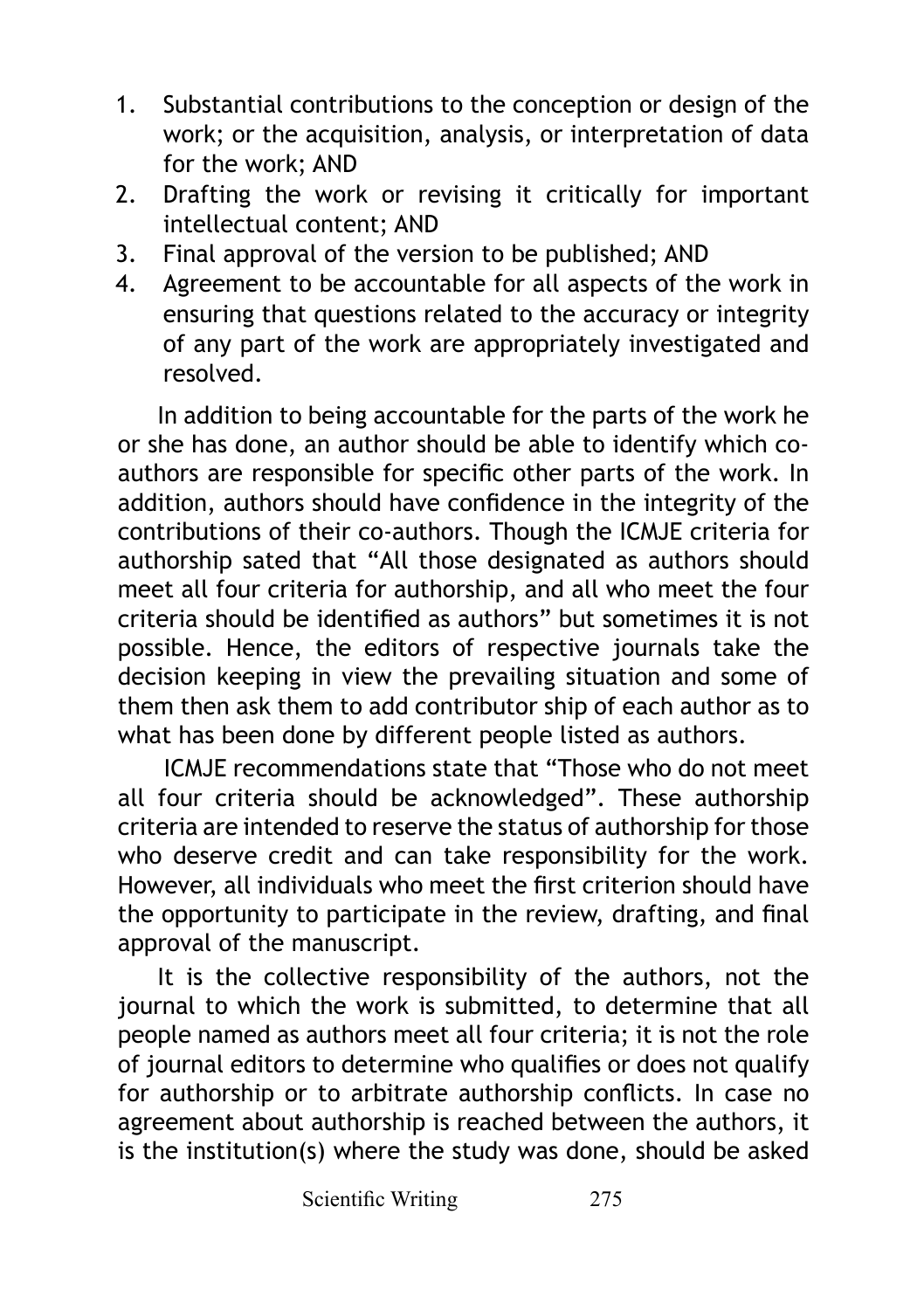- 1. Substantial contributions to the conception or design of the work; or the acquisition, analysis, or interpretation of data for the work; AND
- 2. Drafting the work or revising it critically for important intellectual content; AND
- 3. Final approval of the version to be published; AND
- 4. Agreement to be accountable for all aspects of the work in ensuring that questions related to the accuracy or integrity of any part of the work are appropriately investigated and resolved.

In addition to being accountable for the parts of the work he or she has done, an author should be able to identify which coauthors are responsible for specific other parts of the work. In addition, authors should have confidence in the integrity of the contributions of their co-authors. Though the ICMJE criteria for authorship sated that "All those designated as authors should meet all four criteria for authorship, and all who meet the four criteria should be identified as authors" but sometimes it is not possible. Hence, the editors of respective journals take the decision keeping in view the prevailing situation and some of them then ask them to add contributor ship of each author as to what has been done by different people listed as authors.

 ICMJE recommendations state that "Those who do not meet all four criteria should be acknowledged". These authorship criteria are intended to reserve the status of authorship for those who deserve credit and can take responsibility for the work. However, all individuals who meet the first criterion should have the opportunity to participate in the review, drafting, and final approval of the manuscript.

It is the collective responsibility of the authors, not the journal to which the work is submitted, to determine that all people named as authors meet all four criteria; it is not the role of journal editors to determine who qualifies or does not qualify for authorship or to arbitrate authorship conflicts. In case no agreement about authorship is reached between the authors, it is the institution(s) where the study was done, should be asked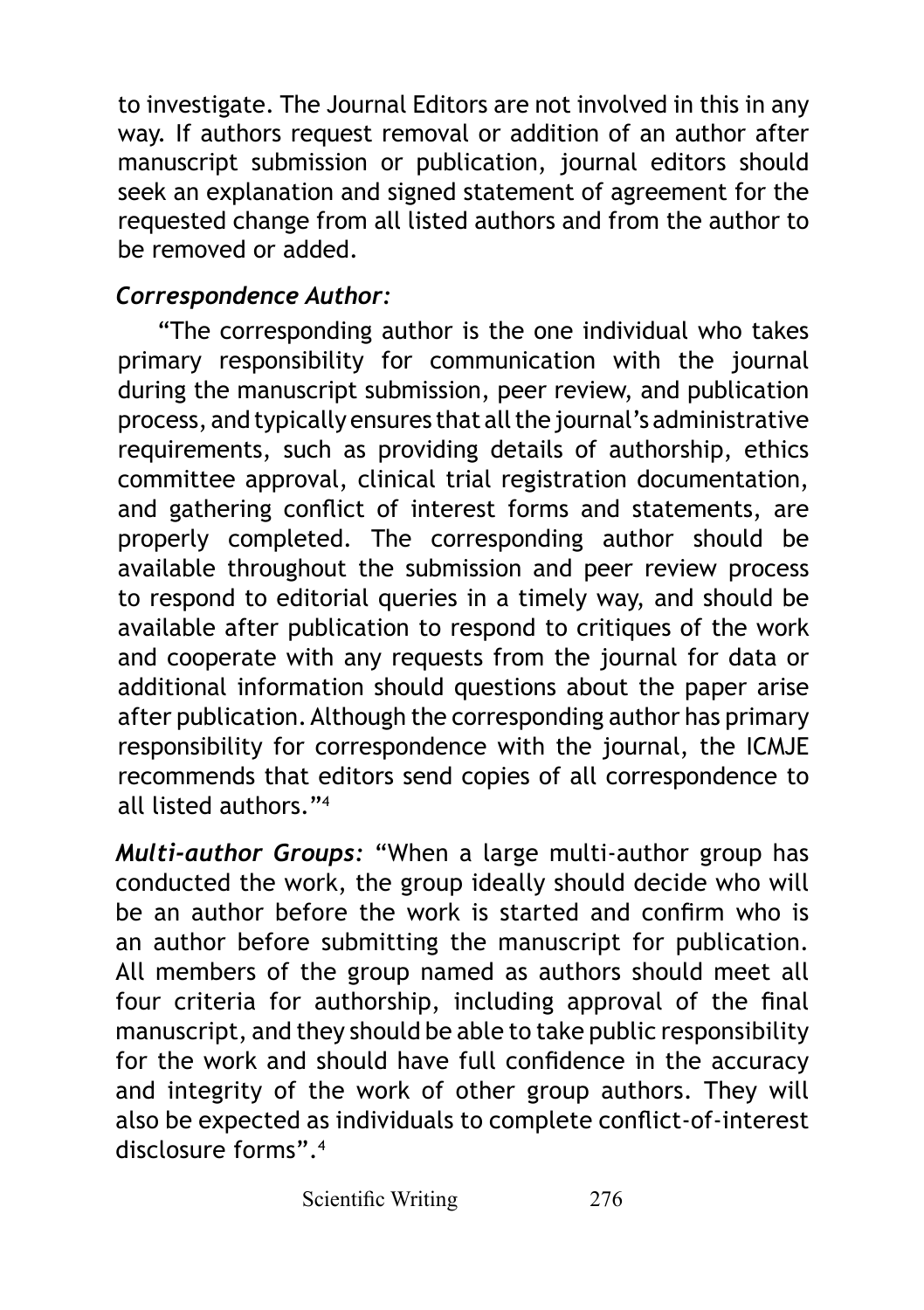to investigate. The Journal Editors are not involved in this in any way. If authors request removal or addition of an author after manuscript submission or publication, journal editors should seek an explanation and signed statement of agreement for the requested change from all listed authors and from the author to be removed or added.

#### *Correspondence Author:*

"The corresponding author is the one individual who takes primary responsibility for communication with the journal during the manuscript submission, peer review, and publication process, and typically ensures that all the journal's administrative requirements, such as providing details of authorship, ethics committee approval, clinical trial registration documentation, and gathering conflict of interest forms and statements, are properly completed. The corresponding author should be available throughout the submission and peer review process to respond to editorial queries in a timely way, and should be available after publication to respond to critiques of the work and cooperate with any requests from the journal for data or additional information should questions about the paper arise after publication. Although the corresponding author has primary responsibility for correspondence with the journal, the ICMJE recommends that editors send copies of all correspondence to all listed authors."4

*Multi-author Groups:* "When a large multi-author group has conducted the work, the group ideally should decide who will be an author before the work is started and confirm who is an author before submitting the manuscript for publication. All members of the group named as authors should meet all four criteria for authorship, including approval of the final manuscript, and they should be able to take public responsibility for the work and should have full confidence in the accuracy and integrity of the work of other group authors. They will also be expected as individuals to complete conflict-of-interest disclosure forms".4